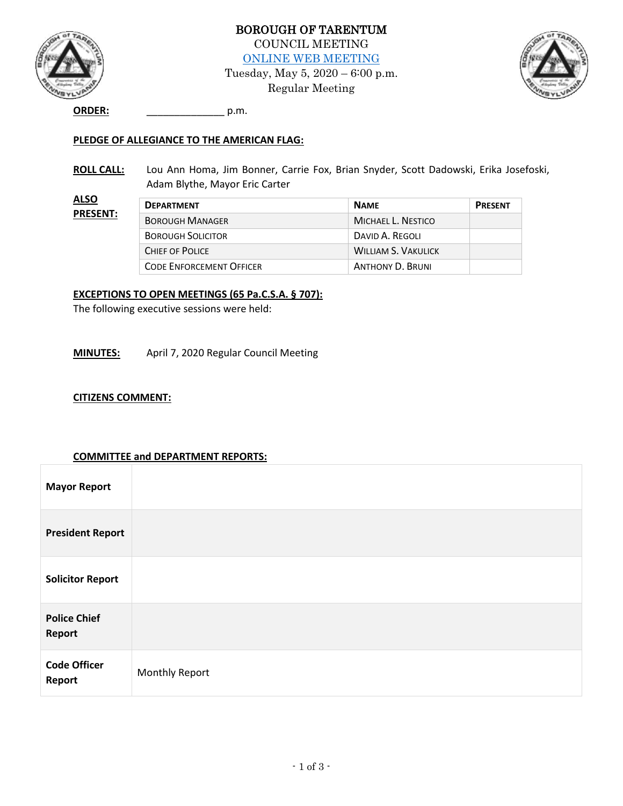

BOROUGH OF TARENTUM COUNCIL MEETING [ONLINE WEB MEETING](https://us02web.zoom.us/j/83048650987) Tuesday, May 5, 2020 – 6:00 p.m.

Regular Meeting



**ORDER:** \_\_\_\_\_\_\_\_\_\_\_\_\_\_ p.m.

## **PLEDGE OF ALLEGIANCE TO THE AMERICAN FLAG:**

**ROLL CALL:** Lou Ann Homa, Jim Bonner, Carrie Fox, Brian Snyder, Scott Dadowski, Erika Josefoski, Adam Blythe, Mayor Eric Carter

| <b>ALSO</b><br><b>PRESENT:</b> | <b>DEPARTMENT</b>               | <b>NAME</b>                | <b>PRESENT</b> |
|--------------------------------|---------------------------------|----------------------------|----------------|
|                                | <b>BOROUGH MANAGER</b>          | MICHAEL L. NESTICO         |                |
|                                | <b>BOROUGH SOLICITOR</b>        | DAVID A. REGOLI            |                |
|                                | CHIEF OF POLICE                 | <b>WILLIAM S. VAKULICK</b> |                |
|                                | <b>CODE ENFORCEMENT OFFICER</b> | <b>ANTHONY D. BRUNI</b>    |                |

### **EXCEPTIONS TO OPEN MEETINGS (65 Pa.C.S.A. § 707):**

The following executive sessions were held:

**MINUTES:** April 7, 2020 Regular Council Meeting

#### **CITIZENS COMMENT:**

#### **COMMITTEE and DEPARTMENT REPORTS:**

| <b>Mayor Report</b>           |                       |
|-------------------------------|-----------------------|
| <b>President Report</b>       |                       |
| <b>Solicitor Report</b>       |                       |
| <b>Police Chief</b><br>Report |                       |
| <b>Code Officer</b><br>Report | <b>Monthly Report</b> |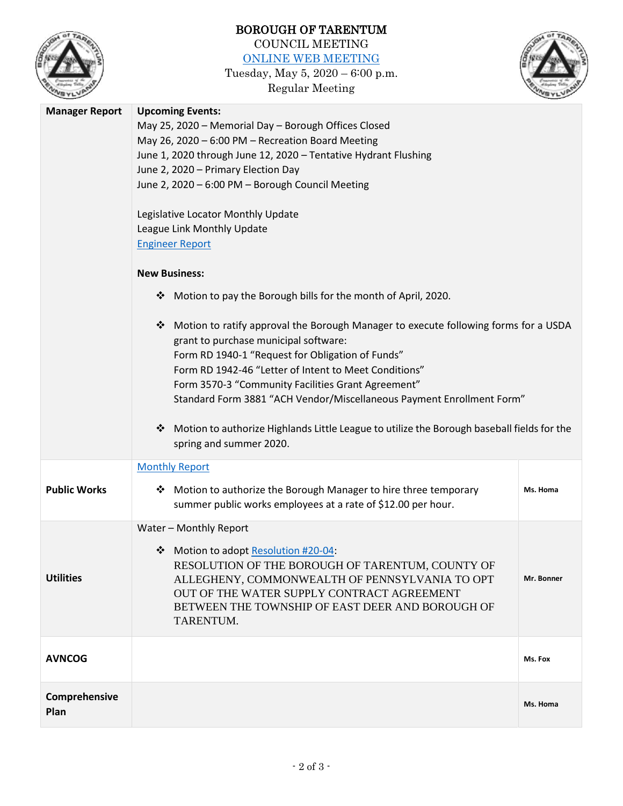

# BOROUGH OF TARENTUM COUNCIL MEETING

[ONLINE WEB MEETING](https://us02web.zoom.us/j/83048650987)

Tuesday, May 5, 2020 – 6:00 p.m. Regular Meeting



| <b>Manager Report</b> | <b>Upcoming Events:</b><br>May 25, 2020 - Memorial Day - Borough Offices Closed<br>May 26, 2020 - 6:00 PM - Recreation Board Meeting<br>June 1, 2020 through June 12, 2020 - Tentative Hydrant Flushing<br>June 2, 2020 - Primary Election Day<br>June 2, 2020 - 6:00 PM - Borough Council Meeting<br>Legislative Locator Monthly Update<br>League Link Monthly Update<br><b>Engineer Report</b> |            |
|-----------------------|--------------------------------------------------------------------------------------------------------------------------------------------------------------------------------------------------------------------------------------------------------------------------------------------------------------------------------------------------------------------------------------------------|------------|
|                       | <b>New Business:</b><br>Motion to pay the Borough bills for the month of April, 2020.<br>❖<br>Motion to ratify approval the Borough Manager to execute following forms for a USDA<br>❖                                                                                                                                                                                                           |            |
|                       | grant to purchase municipal software:<br>Form RD 1940-1 "Request for Obligation of Funds"<br>Form RD 1942-46 "Letter of Intent to Meet Conditions"<br>Form 3570-3 "Community Facilities Grant Agreement"<br>Standard Form 3881 "ACH Vendor/Miscellaneous Payment Enrollment Form"                                                                                                                |            |
|                       | Motion to authorize Highlands Little League to utilize the Borough baseball fields for the<br>❖<br>spring and summer 2020.                                                                                                                                                                                                                                                                       |            |
| <b>Public Works</b>   | <b>Monthly Report</b><br>❖ Motion to authorize the Borough Manager to hire three temporary<br>summer public works employees at a rate of \$12.00 per hour.                                                                                                                                                                                                                                       | Ms. Homa   |
| <b>Utilities</b>      | Water - Monthly Report<br>Motion to adopt Resolution #20-04:<br>❖<br>RESOLUTION OF THE BOROUGH OF TARENTUM, COUNTY OF<br>ALLEGHENY, COMMONWEALTH OF PENNSYLVANIA TO OPT<br>OUT OF THE WATER SUPPLY CONTRACT AGREEMENT<br>BETWEEN THE TOWNSHIP OF EAST DEER AND BOROUGH OF<br>TARENTUM.                                                                                                           | Mr. Bonner |
| <b>AVNCOG</b>         |                                                                                                                                                                                                                                                                                                                                                                                                  | Ms. Fox    |
| Comprehensive<br>Plan |                                                                                                                                                                                                                                                                                                                                                                                                  | Ms. Homa   |